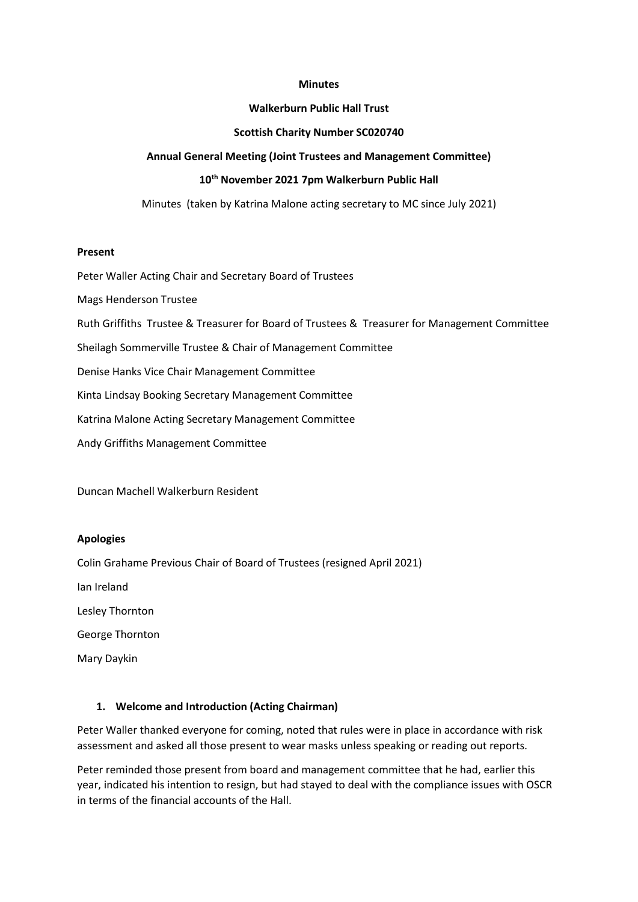#### **Minutes**

#### **Walkerburn Public Hall Trust**

#### **Scottish Charity Number SC020740**

#### **Annual General Meeting (Joint Trustees and Management Committee)**

#### **10th November 2021 7pm Walkerburn Public Hall**

Minutes (taken by Katrina Malone acting secretary to MC since July 2021)

#### **Present**

Peter Waller Acting Chair and Secretary Board of Trustees

Mags Henderson Trustee

Ruth Griffiths Trustee & Treasurer for Board of Trustees & Treasurer for Management Committee

Sheilagh Sommerville Trustee & Chair of Management Committee

Denise Hanks Vice Chair Management Committee

Kinta Lindsay Booking Secretary Management Committee

Katrina Malone Acting Secretary Management Committee

Andy Griffiths Management Committee

Duncan Machell Walkerburn Resident

### **Apologies**

Colin Grahame Previous Chair of Board of Trustees (resigned April 2021)

Ian Ireland

Lesley Thornton

George Thornton

Mary Daykin

### **1. Welcome and Introduction (Acting Chairman)**

Peter Waller thanked everyone for coming, noted that rules were in place in accordance with risk assessment and asked all those present to wear masks unless speaking or reading out reports.

Peter reminded those present from board and management committee that he had, earlier this year, indicated his intention to resign, but had stayed to deal with the compliance issues with OSCR in terms of the financial accounts of the Hall.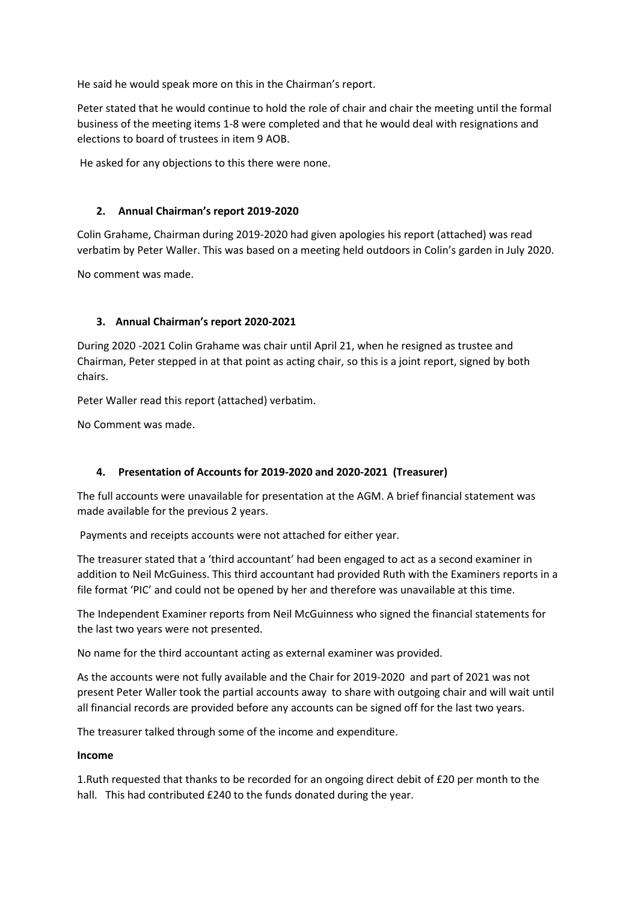He said he would speak more on this in the Chairman's report.

Peter stated that he would continue to hold the role of chair and chair the meeting until the formal business of the meeting items 1-8 were completed and that he would deal with resignations and elections to board of trustees in item 9 AOB.

He asked for any objections to this there were none.

### **2. Annual Chairman's report 2019-2020**

Colin Grahame, Chairman during 2019-2020 had given apologies his report (attached) was read verbatim by Peter Waller. This was based on a meeting held outdoors in Colin's garden in July 2020.

No comment was made.

# **3. Annual Chairman's report 2020-2021**

During 2020 -2021 Colin Grahame was chair until April 21, when he resigned as trustee and Chairman, Peter stepped in at that point as acting chair, so this is a joint report, signed by both chairs.

Peter Waller read this report (attached) verbatim.

No Comment was made.

# **4. Presentation of Accounts for 2019-2020 and 2020-2021 (Treasurer)**

The full accounts were unavailable for presentation at the AGM. A brief financial statement was made available for the previous 2 years.

Payments and receipts accounts were not attached for either year.

The treasurer stated that a 'third accountant' had been engaged to act as a second examiner in addition to Neil McGuiness. This third accountant had provided Ruth with the Examiners reports in a file format 'PIC' and could not be opened by her and therefore was unavailable at this time.

The Independent Examiner reports from Neil McGuinness who signed the financial statements for the last two years were not presented.

No name for the third accountant acting as external examiner was provided.

As the accounts were not fully available and the Chair for 2019-2020 and part of 2021 was not present Peter Waller took the partial accounts away to share with outgoing chair and will wait until all financial records are provided before any accounts can be signed off for the last two years.

The treasurer talked through some of the income and expenditure.

### **Income**

1.Ruth requested that thanks to be recorded for an ongoing direct debit of £20 per month to the hall. This had contributed £240 to the funds donated during the year.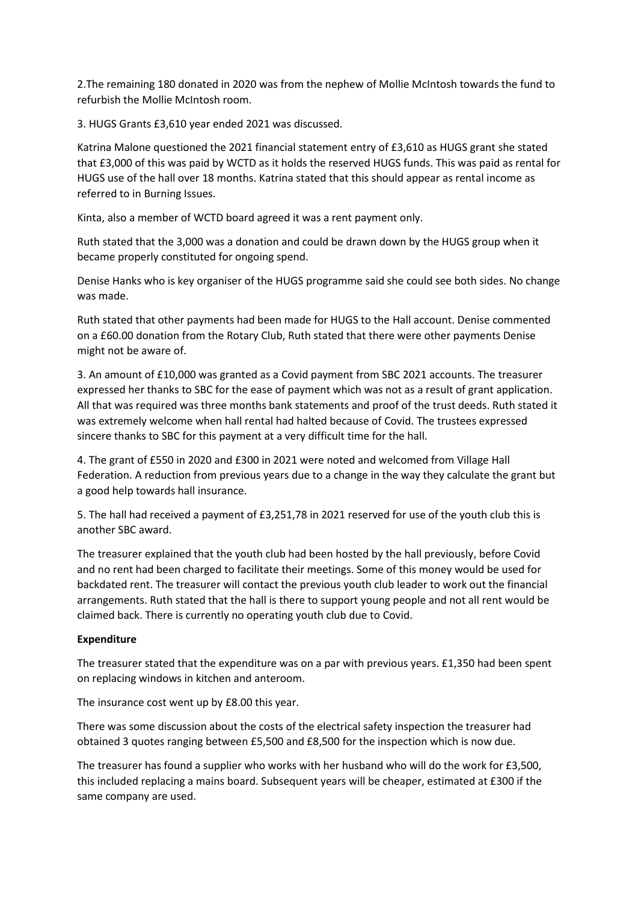2.The remaining 180 donated in 2020 was from the nephew of Mollie McIntosh towards the fund to refurbish the Mollie McIntosh room.

3. HUGS Grants £3,610 year ended 2021 was discussed.

Katrina Malone questioned the 2021 financial statement entry of £3,610 as HUGS grant she stated that £3,000 of this was paid by WCTD as it holds the reserved HUGS funds. This was paid as rental for HUGS use of the hall over 18 months. Katrina stated that this should appear as rental income as referred to in Burning Issues.

Kinta, also a member of WCTD board agreed it was a rent payment only.

Ruth stated that the 3,000 was a donation and could be drawn down by the HUGS group when it became properly constituted for ongoing spend.

Denise Hanks who is key organiser of the HUGS programme said she could see both sides. No change was made.

Ruth stated that other payments had been made for HUGS to the Hall account. Denise commented on a £60.00 donation from the Rotary Club, Ruth stated that there were other payments Denise might not be aware of.

3. An amount of £10,000 was granted as a Covid payment from SBC 2021 accounts. The treasurer expressed her thanks to SBC for the ease of payment which was not as a result of grant application. All that was required was three months bank statements and proof of the trust deeds. Ruth stated it was extremely welcome when hall rental had halted because of Covid. The trustees expressed sincere thanks to SBC for this payment at a very difficult time for the hall.

4. The grant of £550 in 2020 and £300 in 2021 were noted and welcomed from Village Hall Federation. A reduction from previous years due to a change in the way they calculate the grant but a good help towards hall insurance.

5. The hall had received a payment of £3,251,78 in 2021 reserved for use of the youth club this is another SBC award.

The treasurer explained that the youth club had been hosted by the hall previously, before Covid and no rent had been charged to facilitate their meetings. Some of this money would be used for backdated rent. The treasurer will contact the previous youth club leader to work out the financial arrangements. Ruth stated that the hall is there to support young people and not all rent would be claimed back. There is currently no operating youth club due to Covid.

### **Expenditure**

The treasurer stated that the expenditure was on a par with previous years. £1,350 had been spent on replacing windows in kitchen and anteroom.

The insurance cost went up by £8.00 this year.

There was some discussion about the costs of the electrical safety inspection the treasurer had obtained 3 quotes ranging between £5,500 and £8,500 for the inspection which is now due.

The treasurer has found a supplier who works with her husband who will do the work for £3,500, this included replacing a mains board. Subsequent years will be cheaper, estimated at £300 if the same company are used.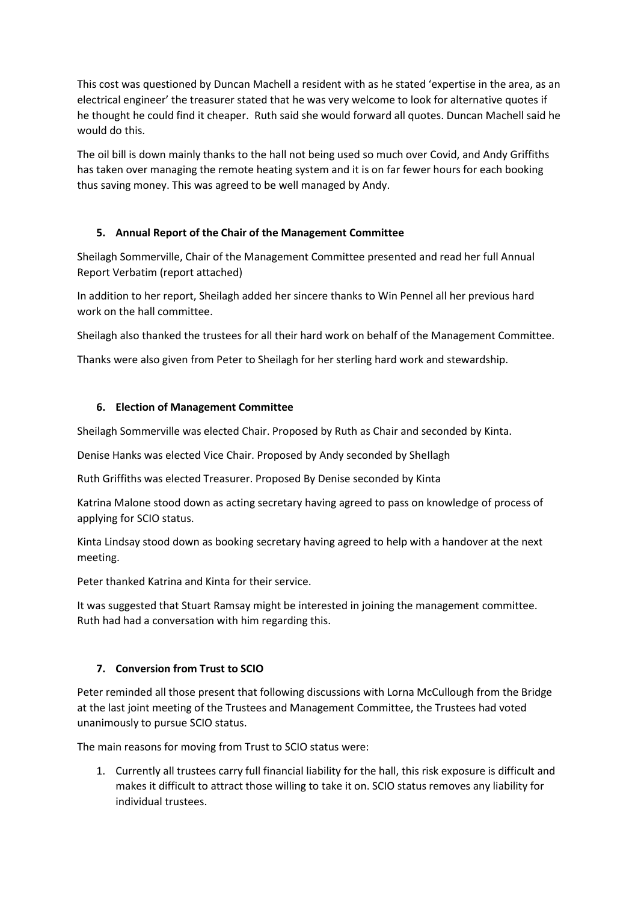This cost was questioned by Duncan Machell a resident with as he stated 'expertise in the area, as an electrical engineer' the treasurer stated that he was very welcome to look for alternative quotes if he thought he could find it cheaper. Ruth said she would forward all quotes. Duncan Machell said he would do this.

The oil bill is down mainly thanks to the hall not being used so much over Covid, and Andy Griffiths has taken over managing the remote heating system and it is on far fewer hours for each booking thus saving money. This was agreed to be well managed by Andy.

# **5. Annual Report of the Chair of the Management Committee**

Sheilagh Sommerville, Chair of the Management Committee presented and read her full Annual Report Verbatim (report attached)

In addition to her report, Sheilagh added her sincere thanks to Win Pennel all her previous hard work on the hall committee.

Sheilagh also thanked the trustees for all their hard work on behalf of the Management Committee.

Thanks were also given from Peter to Sheilagh for her sterling hard work and stewardship.

# **6. Election of Management Committee**

Sheilagh Sommerville was elected Chair. Proposed by Ruth as Chair and seconded by Kinta.

Denise Hanks was elected Vice Chair. Proposed by Andy seconded by SheIlagh

Ruth Griffiths was elected Treasurer. Proposed By Denise seconded by Kinta

Katrina Malone stood down as acting secretary having agreed to pass on knowledge of process of applying for SCIO status.

Kinta Lindsay stood down as booking secretary having agreed to help with a handover at the next meeting.

Peter thanked Katrina and Kinta for their service.

It was suggested that Stuart Ramsay might be interested in joining the management committee. Ruth had had a conversation with him regarding this.

# **7. Conversion from Trust to SCIO**

Peter reminded all those present that following discussions with Lorna McCullough from the Bridge at the last joint meeting of the Trustees and Management Committee, the Trustees had voted unanimously to pursue SCIO status.

The main reasons for moving from Trust to SCIO status were:

1. Currently all trustees carry full financial liability for the hall, this risk exposure is difficult and makes it difficult to attract those willing to take it on. SCIO status removes any liability for individual trustees.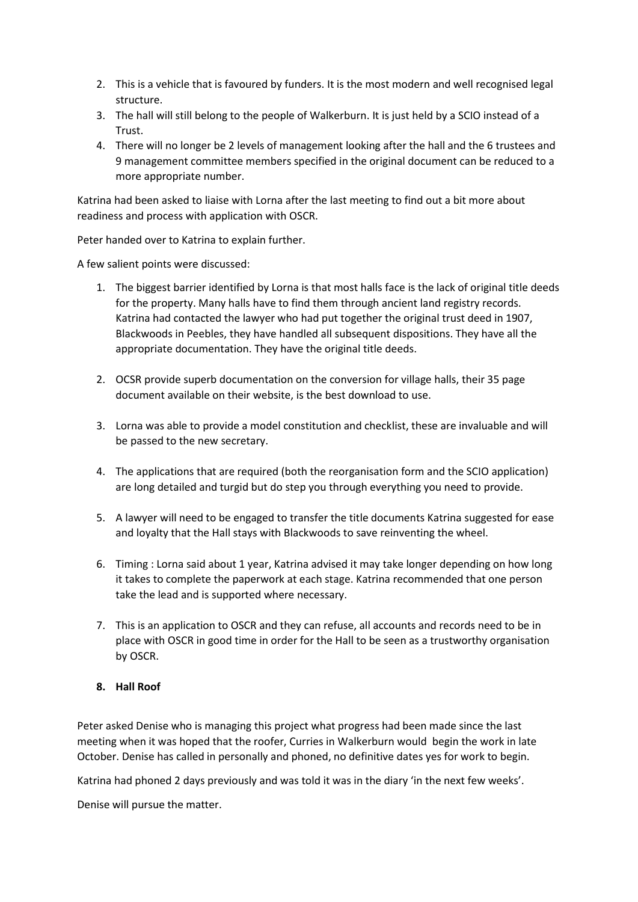- 2. This is a vehicle that is favoured by funders. It is the most modern and well recognised legal structure.
- 3. The hall will still belong to the people of Walkerburn. It is just held by a SCIO instead of a Trust.
- 4. There will no longer be 2 levels of management looking after the hall and the 6 trustees and 9 management committee members specified in the original document can be reduced to a more appropriate number.

Katrina had been asked to liaise with Lorna after the last meeting to find out a bit more about readiness and process with application with OSCR.

Peter handed over to Katrina to explain further.

A few salient points were discussed:

- 1. The biggest barrier identified by Lorna is that most halls face is the lack of original title deeds for the property. Many halls have to find them through ancient land registry records. Katrina had contacted the lawyer who had put together the original trust deed in 1907, Blackwoods in Peebles, they have handled all subsequent dispositions. They have all the appropriate documentation. They have the original title deeds.
- 2. OCSR provide superb documentation on the conversion for village halls, their 35 page document available on their website, is the best download to use.
- 3. Lorna was able to provide a model constitution and checklist, these are invaluable and will be passed to the new secretary.
- 4. The applications that are required (both the reorganisation form and the SCIO application) are long detailed and turgid but do step you through everything you need to provide.
- 5. A lawyer will need to be engaged to transfer the title documents Katrina suggested for ease and loyalty that the Hall stays with Blackwoods to save reinventing the wheel.
- 6. Timing : Lorna said about 1 year, Katrina advised it may take longer depending on how long it takes to complete the paperwork at each stage. Katrina recommended that one person take the lead and is supported where necessary.
- 7. This is an application to OSCR and they can refuse, all accounts and records need to be in place with OSCR in good time in order for the Hall to be seen as a trustworthy organisation by OSCR.

# **8. Hall Roof**

Peter asked Denise who is managing this project what progress had been made since the last meeting when it was hoped that the roofer, Curries in Walkerburn would begin the work in late October. Denise has called in personally and phoned, no definitive dates yes for work to begin.

Katrina had phoned 2 days previously and was told it was in the diary 'in the next few weeks'.

Denise will pursue the matter.